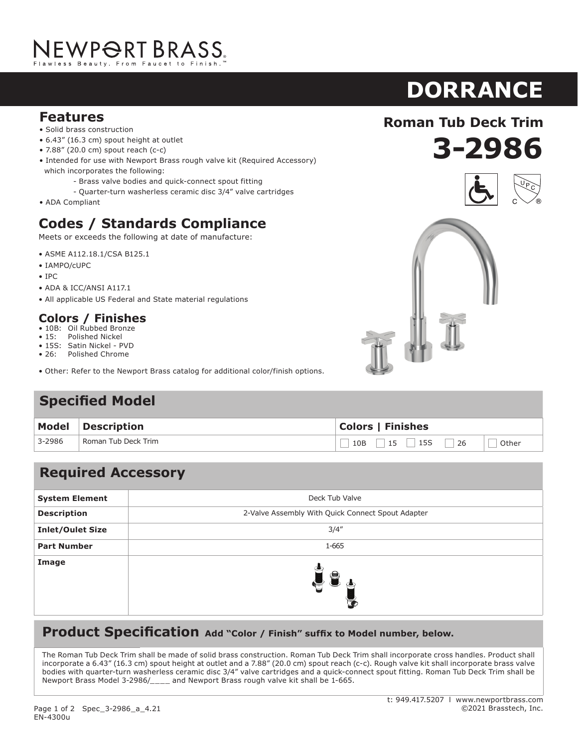# NEWP<del>O</del>RT BRASS.

#### **Features**

- Solid brass construction
- 6.43" (16.3 cm) spout height at outlet
- 7.88" (20.0 cm) spout reach (c-c)
- Intended for use with Newport Brass rough valve kit (Required Accessory) which incorporates the following:
	- Brass valve bodies and quick-connect spout fitting
	- Quarter-turn washerless ceramic disc 3/4" valve cartridges
- ADA Compliant

### **Codes / Standards Compliance**

Meets or exceeds the following at date of manufacture:

- ASME A112.18.1/CSA B125.1
- IAMPO/cUPC
- IPC
- ADA & ICC/ANSI A117.1
- All applicable US Federal and State material regulations

#### **Colors / Finishes**

- 10B: Oil Rubbed Bronze<br>• 15: Polished Nickel
- Polished Nickel
- 15S: Satin Nickel PVD
- 26: Polished Chrome
- Other: Refer to the Newport Brass catalog for additional color/finish options.

#### **Specified Model**

|        | Model Description   | <b>Colors   Finishes</b>       |  |
|--------|---------------------|--------------------------------|--|
| 3-2986 | Roman Tub Deck Trim | $10B$ 15 15 26 $\Box$<br>Other |  |

#### **Required Accessory**

| <b>System Element</b>   | Deck Tub Valve                                    |
|-------------------------|---------------------------------------------------|
| <b>Description</b>      | 2-Valve Assembly With Quick Connect Spout Adapter |
| <b>Inlet/Oulet Size</b> | 3/4''                                             |
| <b>Part Number</b>      | 1-665                                             |
| Image                   | $\blacksquare$<br>G                               |

#### **Product Specification** Add "Color / Finish" suffix to Model number, below.

The Roman Tub Deck Trim shall be made of solid brass construction. Roman Tub Deck Trim shall incorporate cross handles. Product shall incorporate a 6.43" (16.3 cm) spout height at outlet and a 7.88" (20.0 cm) spout reach (c-c). Rough valve kit shall incorporate brass valve bodies with quarter-turn washerless ceramic disc 3/4" valve cartridges and a quick-connect spout fitting. Roman Tub Deck Trim shall be Newport Brass Model 3-2986/\_\_\_\_ and Newport Brass rough valve kit shall be 1-665.

**Roman Tub Deck Trim**

**3-2986**